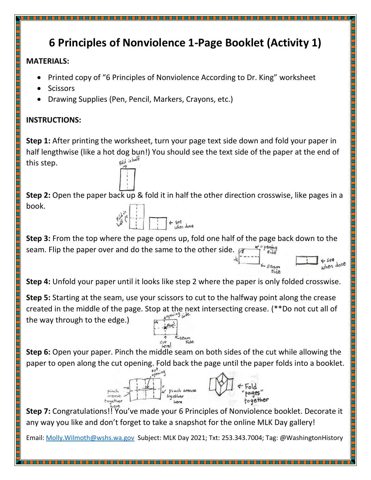## **6 Principles of Nonviolence 1-Page Booklet (Activity 1)**

## **MATERIALS:**

- Printed copy of "6 Principles of Nonviolence According to Dr. King" worksheet
- **Scissors**
- Drawing Supplies (Pen, Pencil, Markers, Crayons, etc.)

## **INSTRUCTIONS:**

**Step 1:** After printing the worksheet, turn your page text side down and fold your paper in half lengthwise (like a hot dog bun!) You should see the text side of the paper at the end of<br>this sten this step.

**Step 2:** Open the paper back up & fold it in half the other direction crosswise, like pages in a book.



**Step 3:** From the top where the page opens up, fold one half of the page back down to the seam. Flip the paper over and do the same to the other side.  $\mathcal{F}$ 

> $\leftarrow$  see when done

Side

**Step 4:** Unfold your paper until it looks like step 2 where the paper is only folded crosswise.

**Step 5:** Starting at the seam, use your scissors to cut to the halfway point along the crease created in the middle of the page. Stop at the next intersecting crease. (\*\*Do not cut all of the way through to the edge.)

**Step 6:** Open your paper. Pinch the middle seam on both sides of the cut while allowing the paper to open along the cut opening. Fold back the page until the paper folds into a booklet.



**Step 7:** Congratulations!! You've made your 6 Principles of Nonviolence booklet. Decorate it any way you like and don't forget to take a snapshot for the online MLK Day gallery!

Email: Molly. Wilmoth@wshs.wa.gov Subject: MLK Day 2021; Txt: 253.343.7004; Tag: @WashingtonHistory